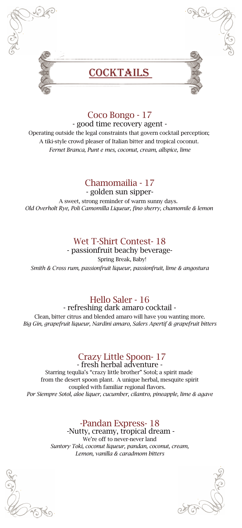

### Coco Bongo - 17

- good time recovery agent - Operating outside the legal constraints that govern cocktail perception; A tiki-style crowd pleaser of Italian bitter and tropical coconut. *Fernet Branca, Punt e mes, coconut, cream, allspice, lime*

### Chamomailia - 17

- golden sun sipper-A sweet, strong reminder of warm sunny days. *Old Overholt Rye, Poli Camomilla Liqueur, fino sherry, chamomile & lemon* 

### Wet T-Shirt Contest- 18

- passionfruit beachy beverage- Spring Break, Baby! *Smith & Cross rum, passionfruit liqueur, passionfruit, lime & angostura*

# Hello Saler - 16

- refreshing dark amaro cocktail -

Clean, bitter citrus and blended amaro will have you wanting more. *Big Gin, grapefruit liqueur, Nardini amaro, Salers Apertif & grapefruit bitters*

# Crazy Little Spoon- 17

- fresh herbal adventure - Starring tequlia's "crazy little brother" Sotol; a spirit made from the desert spoon plant. A unique herbal, mesquite spirit coupled with familiar regional flavors. *Por Siempre Sotol, aloe liquer, cucumber, cilantro, pineapple, lime & agave*

# -Pandan Express- 18 -Nutty, creamy, tropical dream -

We're off to never-never land *Suntory Toki, coconut liqueur, pandan, coconut, cream, Lemon, vanilla & caradmom bitters*



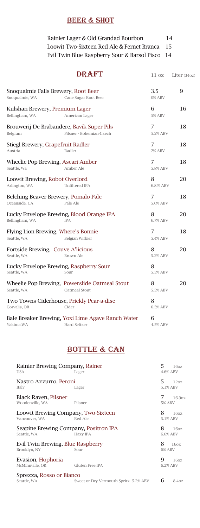### **BEER & SHOT**

| Rainier Lager & Old Grandad Bourbon             | 14 |
|-------------------------------------------------|----|
| Loowit Two-Sixteen Red Ale & Fernet Branca 15   |    |
| Evil Twin Blue Raspberry Sour & Barsol Pisco 14 |    |

|                                                       | DRAFT                                                                    | 11 oz              | Liter $(340z)$ |
|-------------------------------------------------------|--------------------------------------------------------------------------|--------------------|----------------|
| Snoqualmie Falls Brewery, Root Beer<br>Snoqualmie, WA | Cane Sugar Root Beer                                                     | 3.5<br>0% ABV      | 9              |
| Kulshan Brewery, Premium Lager<br>Bellingham, WA      | American Lager                                                           | 6<br><b>5% ABV</b> | 16             |
| Brouwerij De Brabandere, Bavik Super Pils<br>Belgium  | Pilsner - Bohemian-Czech                                                 | 7<br>5.2% ABV      | 18             |
| Stiegl Brewery, Grapefruit Radler<br>Austria          | Radler                                                                   | 7<br>2% ABV        | 18             |
| Wheelie Pop Brewing, Ascari Amber<br>Seattle, Wa      | Amber Ale                                                                | 7<br>5.8% ABV      | 18             |
| Loowit Brewing, Robot Overlord<br>Arlington, WA       | Unfiltered IPA                                                           | 8<br>6.8.% ABV     | 20             |
| Belching Beaver Brewery, Pomalo Pale<br>Oceanside, CA | Pale Ale                                                                 | 7<br>5.6% ABV      | 18             |
| Bellingham, WA                                        | Lucky Envelope Brewing, Blood Orange IPA<br><b>IPA</b>                   | 8<br>6.7% ABV      | 20             |
| Flying Lion Brewing, Where's Bonnie<br>Seattle, WA    | Belgian Witbier                                                          | 7<br>5.4% ABV      | 18             |
| Fortside Brewing, Couve A'licious<br>Seattle, WA      | Brown Ale                                                                | 8<br>5.2% ABV      | 20             |
| Lucky Envelope Brewing, Raspberry Sour<br>Seattle, WA | Sour                                                                     | 8<br>5.5% ABV      |                |
| Seattle, WA                                           | Wheelie Pop Brewing, Powerslide Oatmeal Stout<br>Oatmeal Stout           | 8<br>5.5% ABV      | 20             |
| Corvalis, OR                                          | Two Towns Ciderhouse, Prickly Pear-a-dise<br>Cider                       | 8<br>6.5% ABV      |                |
| Yakima, WA                                            | Bale Breaker Brewing, Yoxi Lime Agave Ranch Water<br><b>Hard Seltzer</b> | 6<br>4.5% ABV      |                |

# **BOTTLE & CAN**

| Rainier Brewing Company, Rainer<br><b>USA</b>        | Lager                                 | 5             | 160z<br>4.6% ABV |
|------------------------------------------------------|---------------------------------------|---------------|------------------|
| Nastro Azzurro, Peroni<br>Italy                      | Lager                                 | 5             | 120z<br>5.1% ABV |
| Black Raven, Pilsner<br>Woodenville, WA              | Pilsner                               | <b>5% ABV</b> | 16.907           |
| Loowit Brewing Company, Two-Sixteen<br>Vancouver, WA | Red Ale                               | 8             | 1607<br>5.1% ABV |
| Seapine Brewing Company, Positron IPA<br>Seattle, WA | Hazy IPA                              | 8             | 1607<br>6.6% ABV |
| Evil Twin Brewing, Blue Raspberry<br>Brooklyn, NY    | Sour                                  | 8<br>6% ABV   | 1607             |
| Evasion, Hophoria<br>McMinnville, OR                 | Gluten Free IPA                       | 9             | 1607<br>6.2% ABV |
| Sprezza, Rosso or Bianco<br>Seattle, WA              | Sweet or Dry Vermouth Spritz 5.2% ABV | 6             | 8.407            |